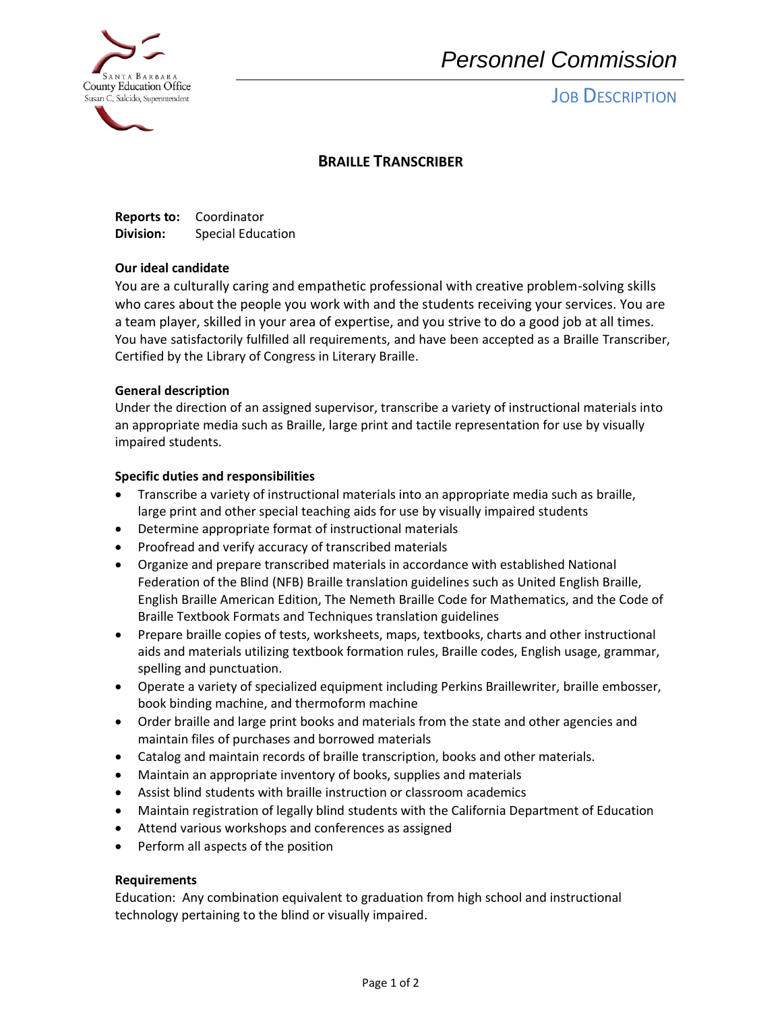

# *Personnel Commission*

# **JOB DESCRIPTION**

## **BRAILLE TRANSCRIBER**

**Reports to:** Coordinator **Division:** Special Education

### **Our ideal candidate**

You are a culturally caring and empathetic professional with creative problem-solving skills who cares about the people you work with and the students receiving your services. You are a team player, skilled in your area of expertise, and you strive to do a good job at all times. You have satisfactorily fulfilled all requirements, and have been accepted as a Braille Transcriber, Certified by the Library of Congress in Literary Braille.

## **General description**

Under the direction of an assigned supervisor, transcribe a variety of instructional materials into an appropriate media such as Braille, large print and tactile representation for use by visually impaired students.

## **Specific duties and responsibilities**

- Transcribe a variety of instructional materials into an appropriate media such as braille, large print and other special teaching aids for use by visually impaired students
- Determine appropriate format of instructional materials
- Proofread and verify accuracy of transcribed materials
- Organize and prepare transcribed materials in accordance with established National Federation of the Blind (NFB) Braille translation guidelines such as United English Braille, English Braille American Edition, The Nemeth Braille Code for Mathematics, and the Code of Braille Textbook Formats and Techniques translation guidelines
- Prepare braille copies of tests, worksheets, maps, textbooks, charts and other instructional aids and materials utilizing textbook formation rules, Braille codes, English usage, grammar, spelling and punctuation.
- Operate a variety of specialized equipment including Perkins Braillewriter, braille embosser, book binding machine, and thermoform machine
- Order braille and large print books and materials from the state and other agencies and maintain files of purchases and borrowed materials
- Catalog and maintain records of braille transcription, books and other materials.
- Maintain an appropriate inventory of books, supplies and materials
- Assist blind students with braille instruction or classroom academics
- Maintain registration of legally blind students with the California Department of Education
- Attend various workshops and conferences as assigned
- Perform all aspects of the position

### **Requirements**

Education: Any combination equivalent to graduation from high school and instructional technology pertaining to the blind or visually impaired.